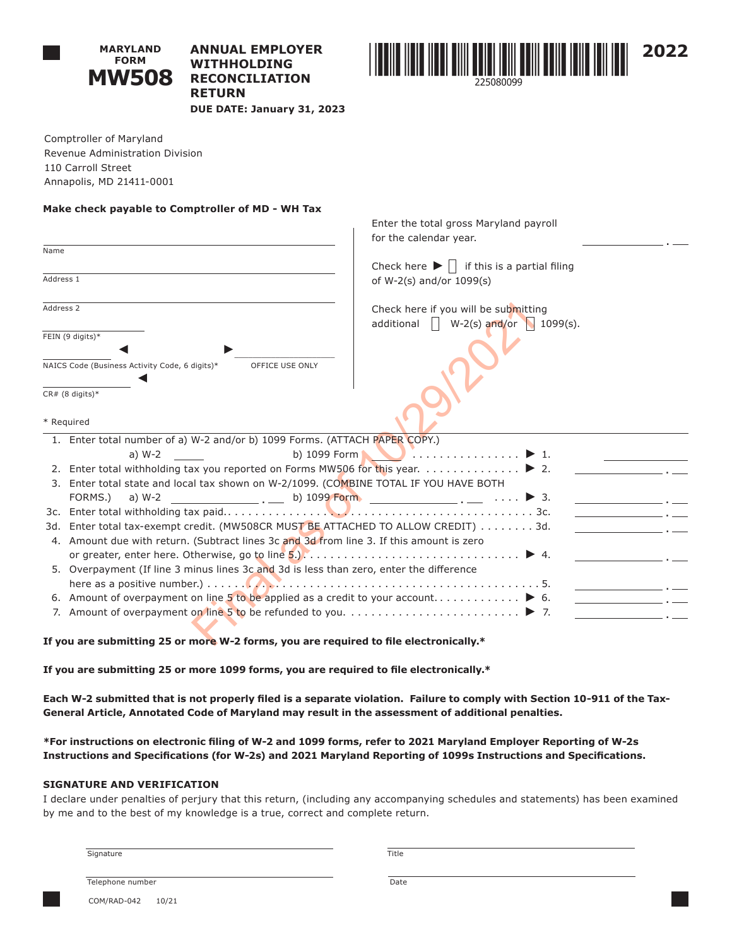

# **ANNUAL EMPLOYER WITHHOLDING RECONCILIATION RETURN DUE DATE: January 31, 2023**



Comptroller of Maryland Revenue Administration Division 110 Carroll Street Annapolis, MD 21411-0001

### **Make check payable to Comptroller of MD - WH Tax**

|                                                                                          | Enter the total gross Maryland payroll                            |
|------------------------------------------------------------------------------------------|-------------------------------------------------------------------|
|                                                                                          | for the calendar year.                                            |
| Name                                                                                     |                                                                   |
|                                                                                          | Check here $\blacktriangleright \Box$ if this is a partial filing |
| Address 1                                                                                | of W-2(s) and/or 1099(s)                                          |
|                                                                                          |                                                                   |
| Address 2                                                                                | Check here if you will be submitting                              |
|                                                                                          | additional<br>$  $ W-2(s) and/or 1099(s).                         |
| FEIN (9 digits)*                                                                         |                                                                   |
|                                                                                          |                                                                   |
| NAICS Code (Business Activity Code, 6 digits)*<br>OFFICE USE ONLY                        |                                                                   |
|                                                                                          |                                                                   |
| $CR# (8 digits)*$                                                                        |                                                                   |
| * Required                                                                               |                                                                   |
|                                                                                          |                                                                   |
| 1. Enter total number of a) W-2 and/or b) 1099 Forms. (ATTACH PAPER COPY.)               |                                                                   |
| a) $W-2$                                                                                 |                                                                   |
| 2. Enter total withholding tax you reported on Forms MW506 for this year. ▶ 2.           |                                                                   |
| 3. Enter total state and local tax shown on W-2/1099. (COMBINE TOTAL IF YOU HAVE BOTH    |                                                                   |
| FORMS.)<br>a) W-2                                                                        | $\frac{1}{1}$ b) 1099 Form $\frac{1}{1}$ .                        |
| 3d. Enter total tax-exempt credit. (MW508CR MUST BE ATTACHED TO ALLOW CREDIT) 3d.        | the control of the control of the                                 |
| 4. Amount due with return. (Subtract lines 3c and 3d from line 3. If this amount is zero |                                                                   |
|                                                                                          |                                                                   |
| 5. Overpayment (If line 3 minus lines 3c and 3d is less than zero, enter the difference  |                                                                   |
|                                                                                          |                                                                   |
|                                                                                          |                                                                   |
|                                                                                          |                                                                   |
|                                                                                          |                                                                   |
| If you are submitting 25 or more W-2 forms, you are required to file electronically.*    |                                                                   |

**If you are submitting 25 or more 1099 forms, you are required to file electronically.\***

**Each W-2 submitted that is not properly filed is a separate violation. Failure to comply with Section 10-911 of the Tax-General Article, Annotated Code of Maryland may result in the assessment of additional penalties.**

**\*For instructions on electronic filing of W-2 and 1099 forms, refer to 2021 Maryland Employer Reporting of W-2s Instructions and Specifications (for W-2s) and 2021 Maryland Reporting of 1099s Instructions and Specifications.**

## **SIGNATURE AND VERIFICATION**

I declare under penalties of perjury that this return, (including any accompanying schedules and statements) has been examined by me and to the best of my knowledge is a true, correct and complete return.

Signature **Title** 

Telephone number Date

COM/RAD-042 10/21